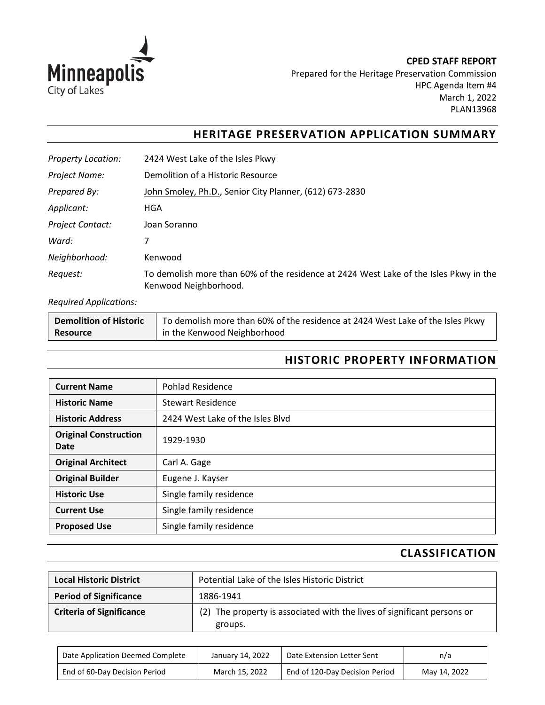

**CPED STAFF REPORT** Prepared for the Heritage Preservation Commission HPC Agenda Item #4 March 1, 2022 PLAN13968

# **HERITAGE PRESERVATION APPLICATION SUMMARY**

| <b>Property Location:</b> | 2424 West Lake of the Isles Pkwy                                                                               |
|---------------------------|----------------------------------------------------------------------------------------------------------------|
| Project Name:             | Demolition of a Historic Resource                                                                              |
| Prepared By:              | John Smoley, Ph.D., Senior City Planner, (612) 673-2830                                                        |
| Applicant:                | HGA                                                                                                            |
| <b>Project Contact:</b>   | Joan Soranno                                                                                                   |
| Ward:                     | 7                                                                                                              |
| Neighborhood:             | Kenwood                                                                                                        |
| Request:                  | To demolish more than 60% of the residence at 2424 West Lake of the Isles Pkwy in the<br>Kenwood Neighborhood. |

*Required Applications:*

| <b>Demolition of Historic</b> | To demolish more than 60% of the residence at 2424 West Lake of the Isles Pkwy |  |
|-------------------------------|--------------------------------------------------------------------------------|--|
| Resource                      | in the Kenwood Neighborhood                                                    |  |

# **HISTORIC PROPERTY INFORMATION**

| <b>Current Name</b>                  | <b>Pohlad Residence</b>          |
|--------------------------------------|----------------------------------|
| <b>Historic Name</b>                 | <b>Stewart Residence</b>         |
| <b>Historic Address</b>              | 2424 West Lake of the Isles Blvd |
| <b>Original Construction</b><br>Date | 1929-1930                        |
| <b>Original Architect</b>            | Carl A. Gage                     |
| <b>Original Builder</b>              | Eugene J. Kayser                 |
| <b>Historic Use</b>                  | Single family residence          |
| <b>Current Use</b>                   | Single family residence          |
| <b>Proposed Use</b>                  | Single family residence          |

# **CLASSIFICATION**

| <b>Local Historic District</b>  | Potential Lake of the Isles Historic District                                      |  |
|---------------------------------|------------------------------------------------------------------------------------|--|
| <b>Period of Significance</b>   | 1886-1941                                                                          |  |
| <b>Criteria of Significance</b> | (2) The property is associated with the lives of significant persons or<br>groups. |  |

| Date Application Deemed Complete | January 14, 2022 | Date Extension Letter Sent     | n/a          |
|----------------------------------|------------------|--------------------------------|--------------|
| End of 60-Day Decision Period    | March 15, 2022   | End of 120-Day Decision Period | May 14, 2022 |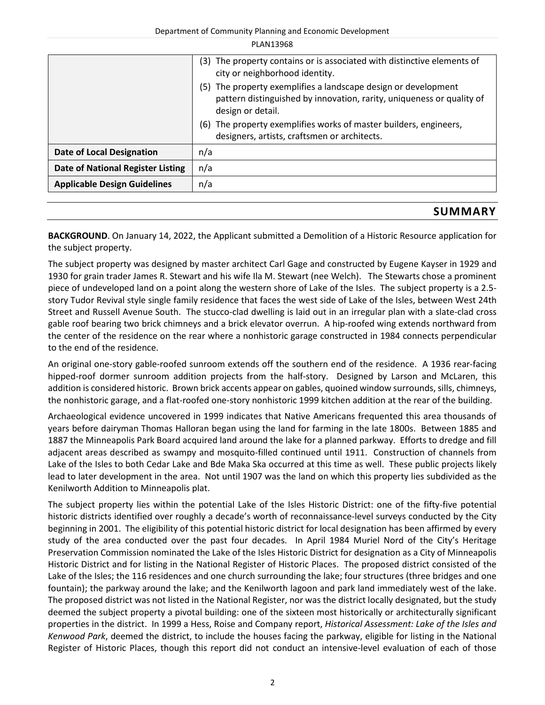#### Department of Community Planning and Economic Development

| <b>PLAN13968</b>                                                                                                                                             |  |  |  |  |
|--------------------------------------------------------------------------------------------------------------------------------------------------------------|--|--|--|--|
| (3) The property contains or is associated with distinctive elements of<br>city or neighborhood identity.                                                    |  |  |  |  |
| (5) The property exemplifies a landscape design or development<br>pattern distinguished by innovation, rarity, uniqueness or quality of<br>design or detail. |  |  |  |  |
| The property exemplifies works of master builders, engineers,<br>(6)<br>designers, artists, craftsmen or architects.                                         |  |  |  |  |
| n/a                                                                                                                                                          |  |  |  |  |
| n/a                                                                                                                                                          |  |  |  |  |
| n/a                                                                                                                                                          |  |  |  |  |
|                                                                                                                                                              |  |  |  |  |

# **SUMMARY**

**BACKGROUND**. On January 14, 2022, the Applicant submitted a Demolition of a Historic Resource application for the subject property.

The subject property was designed by master architect Carl Gage and constructed by Eugene Kayser in 1929 and 1930 for grain trader James R. Stewart and his wife Ila M. Stewart (nee Welch). The Stewarts chose a prominent piece of undeveloped land on a point along the western shore of Lake of the Isles. The subject property is a 2.5 story Tudor Revival style single family residence that faces the west side of Lake of the Isles, between West 24th Street and Russell Avenue South. The stucco-clad dwelling is laid out in an irregular plan with a slate-clad cross gable roof bearing two brick chimneys and a brick elevator overrun. A hip-roofed wing extends northward from the center of the residence on the rear where a nonhistoric garage constructed in 1984 connects perpendicular to the end of the residence.

An original one-story gable-roofed sunroom extends off the southern end of the residence. A 1936 rear-facing hipped-roof dormer sunroom addition projects from the half-story. Designed by Larson and McLaren, this addition is considered historic. Brown brick accents appear on gables, quoined window surrounds, sills, chimneys, the nonhistoric garage, and a flat-roofed one-story nonhistoric 1999 kitchen addition at the rear of the building.

Archaeological evidence uncovered in 1999 indicates that Native Americans frequented this area thousands of years before dairyman Thomas Halloran began using the land for farming in the late 1800s. Between 1885 and 1887 the Minneapolis Park Board acquired land around the lake for a planned parkway. Efforts to dredge and fill adjacent areas described as swampy and mosquito-filled continued until 1911. Construction of channels from Lake of the Isles to both Cedar Lake and Bde Maka Ska occurred at this time as well. These public projects likely lead to later development in the area. Not until 1907 was the land on which this property lies subdivided as the Kenilworth Addition to Minneapolis plat.

The subject property lies within the potential Lake of the Isles Historic District: one of the fifty-five potential historic districts identified over roughly a decade's worth of reconnaissance-level surveys conducted by the City beginning in 2001. The eligibility of this potential historic district for local designation has been affirmed by every study of the area conducted over the past four decades. In April 1984 Muriel Nord of the City's Heritage Preservation Commission nominated the Lake of the Isles Historic District for designation as a City of Minneapolis Historic District and for listing in the National Register of Historic Places. The proposed district consisted of the Lake of the Isles; the 116 residences and one church surrounding the lake; four structures (three bridges and one fountain); the parkway around the lake; and the Kenilworth lagoon and park land immediately west of the lake. The proposed district was not listed in the National Register, nor was the district locally designated, but the study deemed the subject property a pivotal building: one of the sixteen most historically or architecturally significant properties in the district. In 1999 a Hess, Roise and Company report, *Historical Assessment: Lake of the Isles and Kenwood Park*, deemed the district, to include the houses facing the parkway, eligible for listing in the National Register of Historic Places, though this report did not conduct an intensive-level evaluation of each of those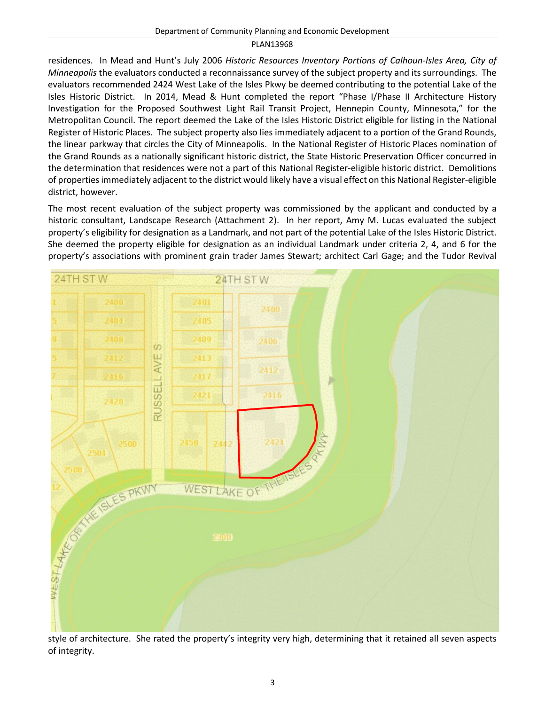residences. In Mead and Hunt's July 2006 *Historic Resources Inventory Portions of Calhoun-Isles Area, City of Minneapolis* the evaluators conducted a reconnaissance survey of the subject property and its surroundings. The evaluators recommended 2424 West Lake of the Isles Pkwy be deemed contributing to the potential Lake of the Isles Historic District. In 2014, Mead & Hunt completed the report "Phase I/Phase II Architecture History Investigation for the Proposed Southwest Light Rail Transit Project, Hennepin County, Minnesota," for the Metropolitan Council. The report deemed the Lake of the Isles Historic District eligible for listing in the National Register of Historic Places. The subject property also lies immediately adjacent to a portion of the Grand Rounds, the linear parkway that circles the City of Minneapolis. In the National Register of Historic Places nomination of the Grand Rounds as a nationally significant historic district, the State Historic Preservation Officer concurred in the determination that residences were not a part of this National Register-eligible historic district. Demolitions of properties immediately adjacent to the district would likely have a visual effect on this National Register-eligible district, however.

The most recent evaluation of the subject property was commissioned by the applicant and conducted by a historic consultant, Landscape Research (Attachment 2). In her report, Amy M. Lucas evaluated the subject property's eligibility for designation as a Landmark, and not part of the potential Lake of the Isles Historic District. She deemed the property eligible for designation as an individual Landmark under criteria 2, 4, and 6 for the property's associations with prominent grain trader James Stewart; architect Carl Gage; and the Tudor Revival



style of architecture. She rated the property's integrity very high, determining that it retained all seven aspects of integrity.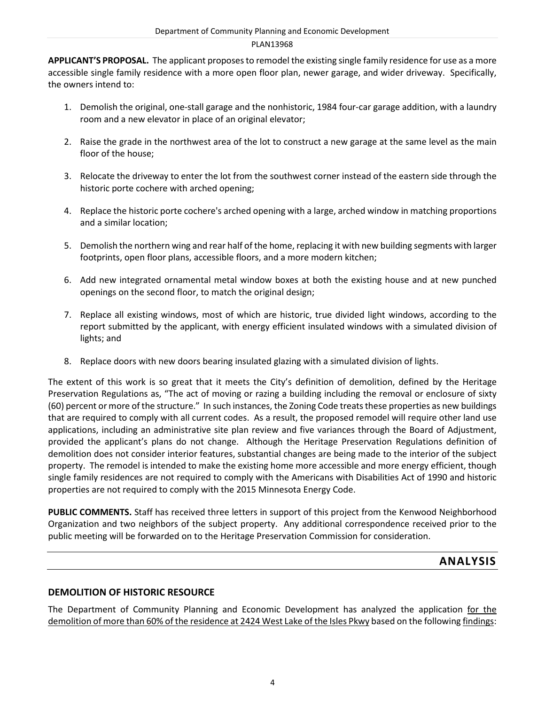**APPLICANT'S PROPOSAL.** The applicant proposes to remodel the existing single family residence for use as a more accessible single family residence with a more open floor plan, newer garage, and wider driveway. Specifically, the owners intend to:

- 1. Demolish the original, one-stall garage and the nonhistoric, 1984 four-car garage addition, with a laundry room and a new elevator in place of an original elevator;
- 2. Raise the grade in the northwest area of the lot to construct a new garage at the same level as the main floor of the house;
- 3. Relocate the driveway to enter the lot from the southwest corner instead of the eastern side through the historic porte cochere with arched opening;
- 4. Replace the historic porte cochere's arched opening with a large, arched window in matching proportions and a similar location;
- 5. Demolish the northern wing and rear half of the home, replacing it with new building segments with larger footprints, open floor plans, accessible floors, and a more modern kitchen;
- 6. Add new integrated ornamental metal window boxes at both the existing house and at new punched openings on the second floor, to match the original design;
- 7. Replace all existing windows, most of which are historic, true divided light windows, according to the report submitted by the applicant, with energy efficient insulated windows with a simulated division of lights; and
- 8. Replace doors with new doors bearing insulated glazing with a simulated division of lights.

The extent of this work is so great that it meets the City's definition of demolition, defined by the Heritage Preservation Regulations as, "The act of moving or razing a building including the removal or enclosure of sixty (60) percent or more of the structure." In such instances, the Zoning Code treats these properties as new buildings that are required to comply with all current codes. As a result, the proposed remodel will require other land use applications, including an administrative site plan review and five variances through the Board of Adjustment, provided the applicant's plans do not change. Although the Heritage Preservation Regulations definition of demolition does not consider interior features, substantial changes are being made to the interior of the subject property. The remodel is intended to make the existing home more accessible and more energy efficient, though single family residences are not required to comply with the Americans with Disabilities Act of 1990 and historic properties are not required to comply with the 2015 Minnesota Energy Code.

**PUBLIC COMMENTS.** Staff has received three letters in support of this project from the Kenwood Neighborhood Organization and two neighbors of the subject property. Any additional correspondence received prior to the public meeting will be forwarded on to the Heritage Preservation Commission for consideration.

# **ANALYSIS**

# **DEMOLITION OF HISTORIC RESOURCE**

The Department of Community Planning and Economic Development has analyzed the application for the demolition of more than 60% of the residence at 2424 West Lake of the Isles Pkwy based on the following [findings:](https://www.municode.com/library/mn/minneapolis/codes/code_of_ordinances?nodeId=MICOOR_TIT23HEPR_CH599HEPRRE_ARTVIIIHIRE_599.480CODE)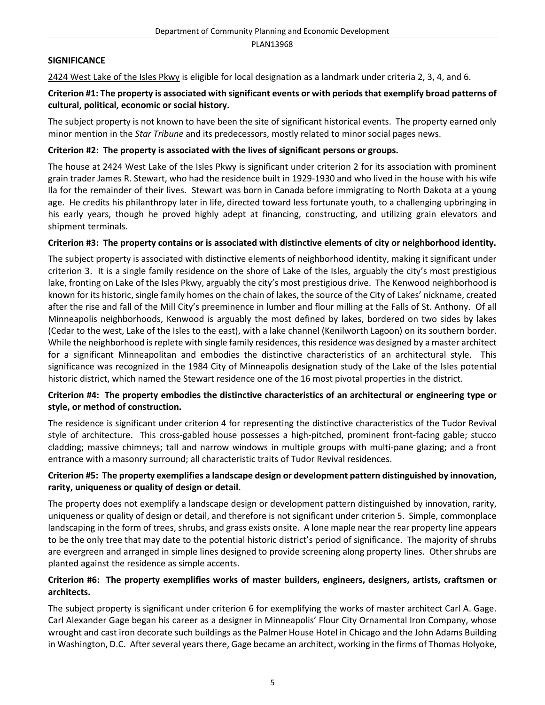# **SIGNIFICANCE**

2424 West Lake of the Isles Pkwy is eligible for local designation as a landmark under criteria 2, 3, 4, and 6.

## **Criterion #1: The property is associated with significant events or with periods that exemplify broad patterns of cultural, political, economic or social history.**

The subject property is not known to have been the site of significant historical events. The property earned only minor mention in the *Star Tribune* and its predecessors, mostly related to minor social pages news.

### **Criterion #2: The property is associated with the lives of significant persons or groups.**

The house at 2424 West Lake of the Isles Pkwy is significant under criterion 2 for its association with prominent grain trader James R. Stewart, who had the residence built in 1929-1930 and who lived in the house with his wife Ila for the remainder of their lives. Stewart was born in Canada before immigrating to North Dakota at a young age. He credits his philanthropy later in life, directed toward less fortunate youth, to a challenging upbringing in his early years, though he proved highly adept at financing, constructing, and utilizing grain elevators and shipment terminals.

# **Criterion #3: The property contains or is associated with distinctive elements of city or neighborhood identity.**

The subject property is associated with distinctive elements of neighborhood identity, making it significant under criterion 3. It is a single family residence on the shore of Lake of the Isles, arguably the city's most prestigious lake, fronting on Lake of the Isles Pkwy, arguably the city's most prestigious drive. The Kenwood neighborhood is known for its historic, single family homes on the chain of lakes, the source of the City of Lakes' nickname, created after the rise and fall of the Mill City's preeminence in lumber and flour milling at the Falls of St. Anthony. Of all Minneapolis neighborhoods, Kenwood is arguably the most defined by lakes, bordered on two sides by lakes (Cedar to the west, Lake of the Isles to the east), with a lake channel (Kenilworth Lagoon) on its southern border. While the neighborhood is replete with single family residences, this residence was designed by a master architect for a significant Minneapolitan and embodies the distinctive characteristics of an architectural style. This significance was recognized in the 1984 City of Minneapolis designation study of the Lake of the Isles potential historic district, which named the Stewart residence one of the 16 most pivotal properties in the district.

# **Criterion #4: The property embodies the distinctive characteristics of an architectural or engineering type or style, or method of construction.**

The residence is significant under criterion 4 for representing the distinctive characteristics of the Tudor Revival style of architecture. This cross-gabled house possesses a high-pitched, prominent front-facing gable; stucco cladding; massive chimneys; tall and narrow windows in multiple groups with multi-pane glazing; and a front entrance with a masonry surround; all characteristic traits of Tudor Revival residences.

# **Criterion #5: The property exemplifies a landscape design or development pattern distinguished by innovation, rarity, uniqueness or quality of design or detail.**

The property does not exemplify a landscape design or development pattern distinguished by innovation, rarity, uniqueness or quality of design or detail, and therefore is not significant under criterion 5. Simple, commonplace landscaping in the form of trees, shrubs, and grass exists onsite. A lone maple near the rear property line appears to be the only tree that may date to the potential historic district's period of significance. The majority of shrubs are evergreen and arranged in simple lines designed to provide screening along property lines. Other shrubs are planted against the residence as simple accents.

# **Criterion #6: The property exemplifies works of master builders, engineers, designers, artists, craftsmen or architects.**

The subject property is significant under criterion 6 for exemplifying the works of master architect Carl A. Gage. Carl Alexander Gage began his career as a designer in Minneapolis' Flour City Ornamental Iron Company, whose wrought and cast iron decorate such buildings as the Palmer House Hotel in Chicago and the John Adams Building in Washington, D.C. After several years there, Gage became an architect, working in the firms of Thomas Holyoke,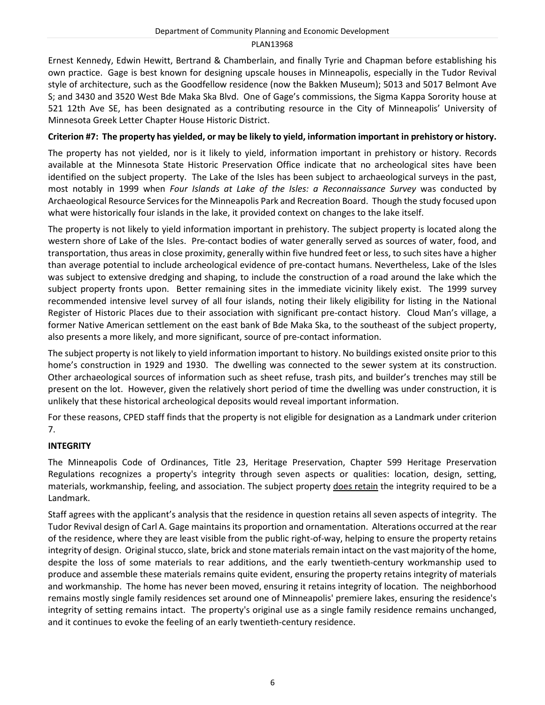Ernest Kennedy, Edwin Hewitt, Bertrand & Chamberlain, and finally Tyrie and Chapman before establishing his own practice. Gage is best known for designing upscale houses in Minneapolis, especially in the Tudor Revival style of architecture, such as the Goodfellow residence (now the Bakken Museum); 5013 and 5017 Belmont Ave S; and 3430 and 3520 West Bde Maka Ska Blvd. One of Gage's commissions, the Sigma Kappa Sorority house at 521 12th Ave SE, has been designated as a contributing resource in the City of Minneapolis' University of Minnesota Greek Letter Chapter House Historic District.

## **Criterion #7: The property has yielded, or may be likely to yield, information important in prehistory or history.**

The property has not yielded, nor is it likely to yield, information important in prehistory or history. Records available at the Minnesota State Historic Preservation Office indicate that no archeological sites have been identified on the subject property. The Lake of the Isles has been subject to archaeological surveys in the past, most notably in 1999 when *Four Islands at Lake of the Isles: a Reconnaissance Survey* was conducted by Archaeological Resource Services for the Minneapolis Park and Recreation Board. Though the study focused upon what were historically four islands in the lake, it provided context on changes to the lake itself.

The property is not likely to yield information important in prehistory. The subject property is located along the western shore of Lake of the Isles. Pre-contact bodies of water generally served as sources of water, food, and transportation, thus areas in close proximity, generally within five hundred feet or less, to such sites have a higher than average potential to include archeological evidence of pre-contact humans. Nevertheless, Lake of the Isles was subject to extensive dredging and shaping, to include the construction of a road around the lake which the subject property fronts upon. Better remaining sites in the immediate vicinity likely exist. The 1999 survey recommended intensive level survey of all four islands, noting their likely eligibility for listing in the National Register of Historic Places due to their association with significant pre-contact history. Cloud Man's village, a former Native American settlement on the east bank of Bde Maka Ska, to the southeast of the subject property, also presents a more likely, and more significant, source of pre-contact information.

The subject property is not likely to yield information important to history. No buildings existed onsite prior to this home's construction in 1929 and 1930. The dwelling was connected to the sewer system at its construction. Other archaeological sources of information such as sheet refuse, trash pits, and builder's trenches may still be present on the lot. However, given the relatively short period of time the dwelling was under construction, it is unlikely that these historical archeological deposits would reveal important information.

For these reasons, CPED staff finds that the property is not eligible for designation as a Landmark under criterion 7.

#### **INTEGRITY**

The Minneapolis Code of Ordinances, Title 23, Heritage Preservation, Chapter 599 Heritage Preservation Regulations recognizes a property's integrity through seven aspects or qualities: location, design, setting, materials, workmanship, feeling, and association. The subject property does retain the integrity required to be a Landmark.

Staff agrees with the applicant's analysis that the residence in question retains all seven aspects of integrity. The Tudor Revival design of Carl A. Gage maintains its proportion and ornamentation. Alterations occurred at the rear of the residence, where they are least visible from the public right-of-way, helping to ensure the property retains integrity of design. Original stucco, slate, brick and stone materials remain intact on the vast majority of the home, despite the loss of some materials to rear additions, and the early twentieth-century workmanship used to produce and assemble these materials remains quite evident, ensuring the property retains integrity of materials and workmanship. The home has never been moved, ensuring it retains integrity of location. The neighborhood remains mostly single family residences set around one of Minneapolis' premiere lakes, ensuring the residence's integrity of setting remains intact. The property's original use as a single family residence remains unchanged, and it continues to evoke the feeling of an early twentieth-century residence.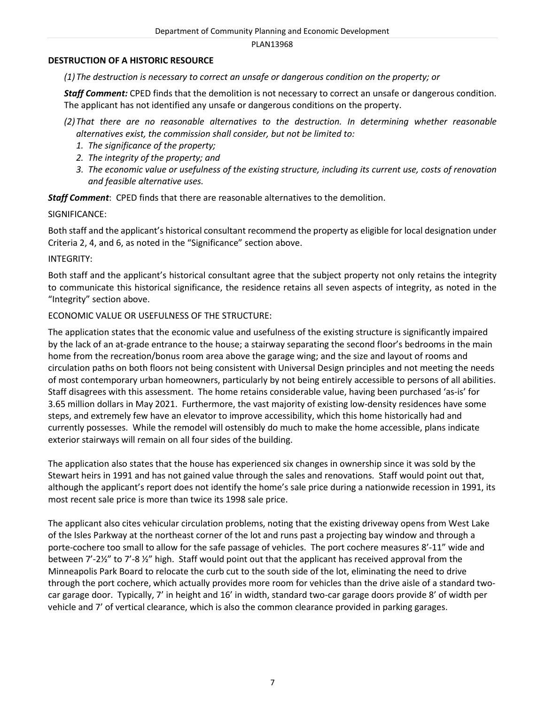### **DESTRUCTION OF A HISTORIC RESOURCE**

*(1)The destruction is necessary to correct an unsafe or dangerous condition on the property; or*

*Staff Comment:* CPED finds that the demolition is not necessary to correct an unsafe or dangerous condition. The applicant has not identified any unsafe or dangerous conditions on the property.

- *(2)That there are no reasonable alternatives to the destruction. In determining whether reasonable alternatives exist, the commission shall consider, but not be limited to:*
	- *1. The significance of the property;*
	- *2. The integrity of the property; and*
	- *3. The economic value or usefulness of the existing structure, including its current use, costs of renovation and feasible alternative uses.*

*Staff Comment*: CPED finds that there are reasonable alternatives to the demolition.

### SIGNIFICANCE:

Both staff and the applicant's historical consultant recommend the property as eligible for local designation under Criteria 2, 4, and 6, as noted in the "Significance" section above.

### INTEGRITY:

Both staff and the applicant's historical consultant agree that the subject property not only retains the integrity to communicate this historical significance, the residence retains all seven aspects of integrity, as noted in the "Integrity" section above.

### ECONOMIC VALUE OR USEFULNESS OF THE STRUCTURE:

The application states that the economic value and usefulness of the existing structure is significantly impaired by the lack of an at-grade entrance to the house; a stairway separating the second floor's bedrooms in the main home from the recreation/bonus room area above the garage wing; and the size and layout of rooms and circulation paths on both floors not being consistent with Universal Design principles and not meeting the needs of most contemporary urban homeowners, particularly by not being entirely accessible to persons of all abilities. Staff disagrees with this assessment. The home retains considerable value, having been purchased 'as-is' for 3.65 million dollars in May 2021. Furthermore, the vast majority of existing low-density residences have some steps, and extremely few have an elevator to improve accessibility, which this home historically had and currently possesses. While the remodel will ostensibly do much to make the home accessible, plans indicate exterior stairways will remain on all four sides of the building.

The application also states that the house has experienced six changes in ownership since it was sold by the Stewart heirs in 1991 and has not gained value through the sales and renovations. Staff would point out that, although the applicant's report does not identify the home's sale price during a nationwide recession in 1991, its most recent sale price is more than twice its 1998 sale price.

The applicant also cites vehicular circulation problems, noting that the existing driveway opens from West Lake of the Isles Parkway at the northeast corner of the lot and runs past a projecting bay window and through a porte-cochere too small to allow for the safe passage of vehicles. The port cochere measures 8'-11" wide and between 7'-2½" to 7'-8 ½" high. Staff would point out that the applicant has received approval from the Minneapolis Park Board to relocate the curb cut to the south side of the lot, eliminating the need to drive through the port cochere, which actually provides more room for vehicles than the drive aisle of a standard twocar garage door. Typically, 7' in height and 16' in width, standard two-car garage doors provide 8' of width per vehicle and 7' of vertical clearance, which is also the common clearance provided in parking garages.